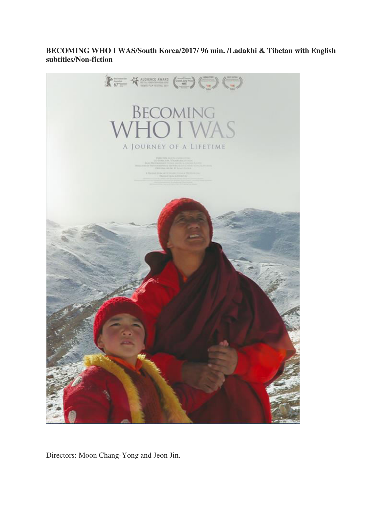**BECOMING WHO I WAS/South Korea/2017/ 96 min. /Ladakhi & Tibetan with English subtitles/Non-fiction** 



Directors: Moon Chang-Yong and Jeon Jin.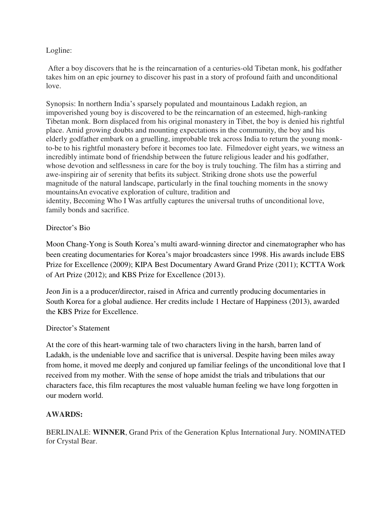## Logline:

 After a boy discovers that he is the reincarnation of a centuries-old Tibetan monk, his godfather takes him on an epic journey to discover his past in a story of profound faith and unconditional love.

Synopsis: In northern India's sparsely populated and mountainous Ladakh region, an impoverished young boy is discovered to be the reincarnation of an esteemed, high-ranking Tibetan monk. Born displaced from his original monastery in Tibet, the boy is denied his rightful place. Amid growing doubts and mounting expectations in the community, the boy and his elderly godfather embark on a gruelling, improbable trek across India to return the young monkto-be to his rightful monastery before it becomes too late. Filmedover eight years, we witness an incredibly intimate bond of friendship between the future religious leader and his godfather, whose devotion and selflessness in care for the boy is truly touching. The film has a stirring and awe-inspiring air of serenity that befits its subject. Striking drone shots use the powerful magnitude of the natural landscape, particularly in the final touching moments in the snowy mountainsAn evocative exploration of culture, tradition and identity, Becoming Who I Was artfully captures the universal truths of unconditional love, family bonds and sacrifice.

## Director's Bio

Moon Chang-Yong is South Korea's multi award-winning director and cinematographer who has been creating documentaries for Korea's major broadcasters since 1998. His awards include EBS Prize for Excellence (2009); KIPA Best Documentary Award Grand Prize (2011); KCTTA Work of Art Prize (2012); and KBS Prize for Excellence (2013).

Jeon Jin is a a producer/director, raised in Africa and currently producing documentaries in South Korea for a global audience. Her credits include 1 Hectare of Happiness (2013), awarded the KBS Prize for Excellence.

## Director's Statement

At the core of this heart-warming tale of two characters living in the harsh, barren land of Ladakh, is the undeniable love and sacrifice that is universal. Despite having been miles away from home, it moved me deeply and conjured up familiar feelings of the unconditional love that I received from my mother. With the sense of hope amidst the trials and tribulations that our characters face, this film recaptures the most valuable human feeling we have long forgotten in our modern world.

## **AWARDS:**

BERLINALE: **WINNER**, Grand Prix of the Generation Kplus International Jury. NOMINATED for Crystal Bear.